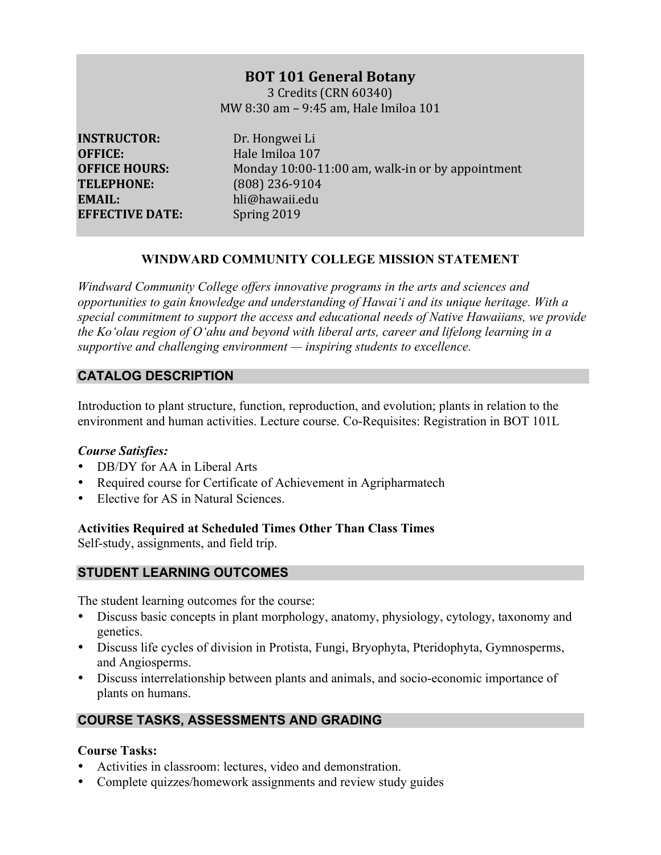# **BOT 101 General Botany**

3 Credits (CRN 60340) MW 8:30 am - 9:45 am, Hale Imiloa 101

**INSTRUCTOR:** Dr. Hongwei Li **OFFICE:** Hale Imiloa 107 **TELEPHONE:** (808) 236-9104 **EMAIL:**  hli@hawaii.edu **EFFECTIVE DATE:** Spring 2019

**OFFICE HOURS:** Monday 10:00-11:00 am, walk-in or by appointment

# **WINDWARD COMMUNITY COLLEGE MISSION STATEMENT**

*Windward Community College offers innovative programs in the arts and sciences and opportunities to gain knowledge and understanding of Hawai'i and its unique heritage. With a special commitment to support the access and educational needs of Native Hawaiians, we provide the Ko'olau region of Oʻahu and beyond with liberal arts, career and lifelong learning in a supportive and challenging environment — inspiring students to excellence.*

# **CATALOG DESCRIPTION**

Introduction to plant structure, function, reproduction, and evolution; plants in relation to the environment and human activities. Lecture course. Co-Requisites: Registration in BOT 101L

# *Course Satisfies:*

- DB/DY for AA in Liberal Arts
- Required course for Certificate of Achievement in Agripharmatech
- Elective for AS in Natural Sciences

# **Activities Required at Scheduled Times Other Than Class Times**

Self-study, assignments, and field trip.

# **STUDENT LEARNING OUTCOMES**

The student learning outcomes for the course:

- Discuss basic concepts in plant morphology, anatomy, physiology, cytology, taxonomy and genetics.
- Discuss life cycles of division in Protista, Fungi, Bryophyta, Pteridophyta, Gymnosperms, and Angiosperms.
- Discuss interrelationship between plants and animals, and socio-economic importance of plants on humans.

# **COURSE TASKS, ASSESSMENTS AND GRADING**

## **Course Tasks:**

- Activities in classroom: lectures, video and demonstration.
- Complete quizzes/homework assignments and review study guides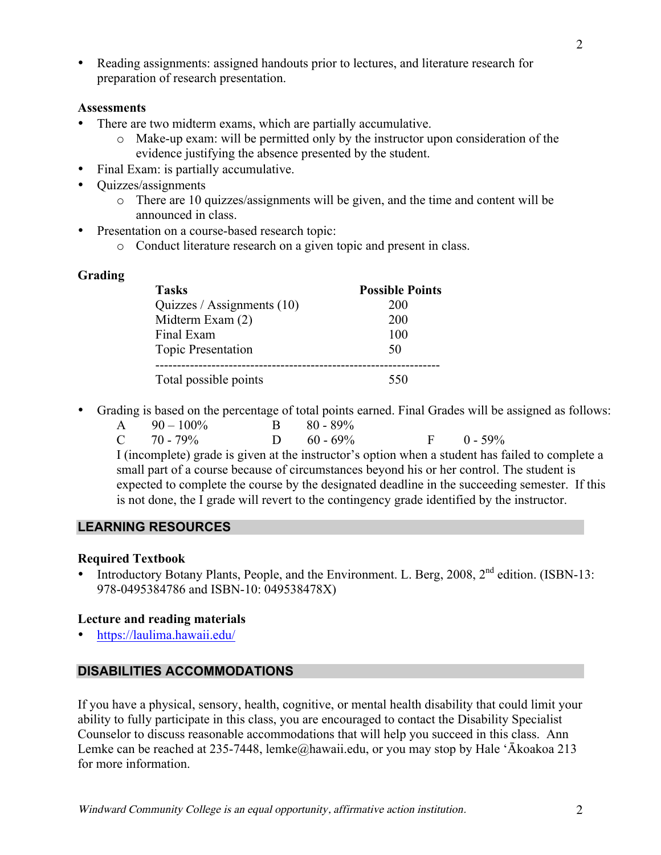• Reading assignments: assigned handouts prior to lectures, and literature research for preparation of research presentation.

#### **Assessments**

- There are two midterm exams, which are partially accumulative.
	- o Make-up exam: will be permitted only by the instructor upon consideration of the evidence justifying the absence presented by the student.
- Final Exam: is partially accumulative.
- Quizzes/assignments
	- o There are 10 quizzes/assignments will be given, and the time and content will be announced in class.
- Presentation on a course-based research topic:
	- o Conduct literature research on a given topic and present in class.

# **Grading**

| <b>Tasks</b>                 | <b>Possible Points</b> |
|------------------------------|------------------------|
| Quizzes / Assignments $(10)$ | 200                    |
| Midterm Exam (2)             | 200                    |
| Final Exam                   | 100                    |
| <b>Topic Presentation</b>    | 50                     |
| Total possible points        | 550                    |

- Grading is based on the percentage of total points earned. Final Grades will be assigned as follows:
	- A  $90-100\%$  B  $80-89\%$ C 70 - 79% D 60 - 69% F 0 - 59%

I (incomplete) grade is given at the instructor's option when a student has failed to complete a small part of a course because of circumstances beyond his or her control. The student is expected to complete the course by the designated deadline in the succeeding semester. If this is not done, the I grade will revert to the contingency grade identified by the instructor.

## **LEARNING RESOURCES**

## **Required Textbook**

Introductory Botany Plants, People, and the Environment. L. Berg, 2008, 2<sup>nd</sup> edition. (ISBN-13: 978-0495384786 and ISBN-10: 049538478X)

## **Lecture and reading materials**

• https://laulima.hawaii.edu/

# **DISABILITIES ACCOMMODATIONS**

If you have a physical, sensory, health, cognitive, or mental health disability that could limit your ability to fully participate in this class, you are encouraged to contact the Disability Specialist Counselor to discuss reasonable accommodations that will help you succeed in this class. Ann Lemke can be reached at 235-7448, lemke@hawaii.edu, or you may stop by Hale 'Ākoakoa 213 for more information.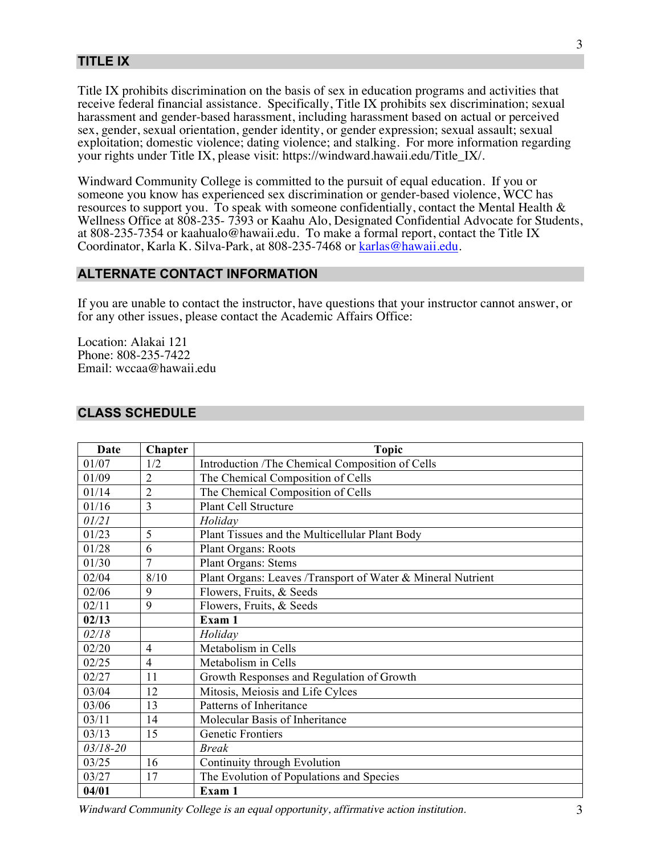## **TITLE IX**

Title IX prohibits discrimination on the basis of sex in education programs and activities that receive federal financial assistance. Specifically, Title IX prohibits sex discrimination; sexual harassment and gender-based harassment, including harassment based on actual or perceived sex, gender, sexual orientation, gender identity, or gender expression; sexual assault; sexual exploitation; domestic violence; dating violence; and stalking. For more information regarding your rights under Title IX, please visit: https://windward.hawaii.edu/Title\_IX/.

Windward Community College is committed to the pursuit of equal education. If you or someone you know has experienced sex discrimination or gender-based violence, WCC has resources to support you. To speak with someone confidentially, contact the Mental Health & Wellness Office at 808-235- 7393 or Kaahu Alo, Designated Confidential Advocate for Students, at 808-235-7354 or kaahualo@hawaii.edu. To make a formal report, contact the Title IX Coordinator, Karla K. Silva-Park, at 808-235-7468 or karlas@hawaii.edu.

#### **ALTERNATE CONTACT INFORMATION**

If you are unable to contact the instructor, have questions that your instructor cannot answer, or for any other issues, please contact the Academic Affairs Office:

Location: Alakai 121 Phone: 808-235-7422 Email: wccaa@hawaii.edu

#### **CLASS SCHEDULE**

| Date         | Chapter        | <b>Topic</b>                                                |
|--------------|----------------|-------------------------------------------------------------|
| 01/07        | 1/2            | Introduction /The Chemical Composition of Cells             |
| 01/09        | $\overline{2}$ | The Chemical Composition of Cells                           |
| 01/14        | $\overline{2}$ | The Chemical Composition of Cells                           |
| 01/16        | 3              | <b>Plant Cell Structure</b>                                 |
| 01/21        |                | Holidav                                                     |
| 01/23        | 5              | Plant Tissues and the Multicellular Plant Body              |
| 01/28        | 6              | <b>Plant Organs: Roots</b>                                  |
| 01/30        | $\overline{7}$ | <b>Plant Organs: Stems</b>                                  |
| 02/04        | 8/10           | Plant Organs: Leaves /Transport of Water & Mineral Nutrient |
| 02/06        | 9              | Flowers, Fruits, & Seeds                                    |
| 02/11        | 9              | Flowers, Fruits, & Seeds                                    |
| 02/13        |                | Exam 1                                                      |
| 02/18        |                | Holiday                                                     |
| 02/20        | $\overline{4}$ | Metabolism in Cells                                         |
| 02/25        | $\overline{4}$ | Metabolism in Cells                                         |
| 02/27        | 11             | Growth Responses and Regulation of Growth                   |
| 03/04        | 12             | Mitosis, Meiosis and Life Cylces                            |
| 03/06        | 13             | Patterns of Inheritance                                     |
| 03/11        | 14             | Molecular Basis of Inheritance                              |
| 03/13        | 15             | <b>Genetic Frontiers</b>                                    |
| $03/18 - 20$ |                | <b>Break</b>                                                |
| 03/25        | 16             | Continuity through Evolution                                |
| 03/27        | 17             | The Evolution of Populations and Species                    |
| 04/01        |                | Exam 1                                                      |

Windward Community College is an equal opportunity, affirmative action institution. 3